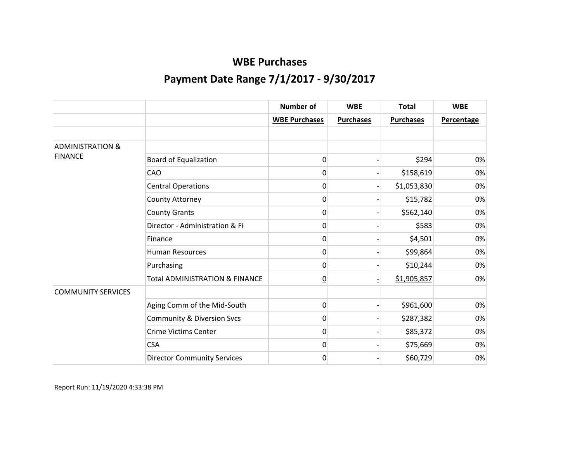|                             |                                           | <b>Number of</b>     | <b>WBE</b>       | <b>Total</b>     | <b>WBE</b> |
|-----------------------------|-------------------------------------------|----------------------|------------------|------------------|------------|
|                             |                                           | <b>WBE Purchases</b> | <b>Purchases</b> | <b>Purchases</b> | Percentage |
|                             |                                           |                      |                  |                  |            |
| <b>ADMINISTRATION &amp;</b> |                                           |                      |                  |                  |            |
| <b>FINANCE</b>              | <b>Board of Equalization</b>              | 0                    |                  | \$294            | 0%         |
|                             | CAO                                       | 0                    |                  | \$158,619        | 0%         |
|                             | <b>Central Operations</b>                 | 0                    |                  | \$1,053,830      | 0%         |
|                             | County Attorney                           | 0                    |                  | \$15,782         | 0%         |
|                             | <b>County Grants</b>                      | 0                    |                  | \$562,140        | 0%         |
|                             | Director - Administration & Fi            | 0                    |                  | \$583            | 0%         |
|                             | Finance                                   | 0                    |                  | \$4,501          | 0%         |
|                             | <b>Human Resources</b>                    | 0                    |                  | \$99,864         | 0%         |
|                             | Purchasing                                | 0                    |                  | \$10,244         | 0%         |
|                             | <b>Total ADMINISTRATION &amp; FINANCE</b> | $\underline{0}$      |                  | \$1,905,857      | 0%         |
| <b>COMMUNITY SERVICES</b>   |                                           |                      |                  |                  |            |
|                             | Aging Comm of the Mid-South               | 0                    |                  | \$961,600        | 0%         |
|                             | <b>Community &amp; Diversion Svcs</b>     | 0                    |                  | \$287,382        | 0%         |
|                             | <b>Crime Victims Center</b>               | 0                    |                  | \$85,372         | 0%         |
|                             | <b>CSA</b>                                | 0                    |                  | \$75,669         | 0%         |
|                             | <b>Director Community Services</b>        | 0                    |                  | \$60,729         | 0%         |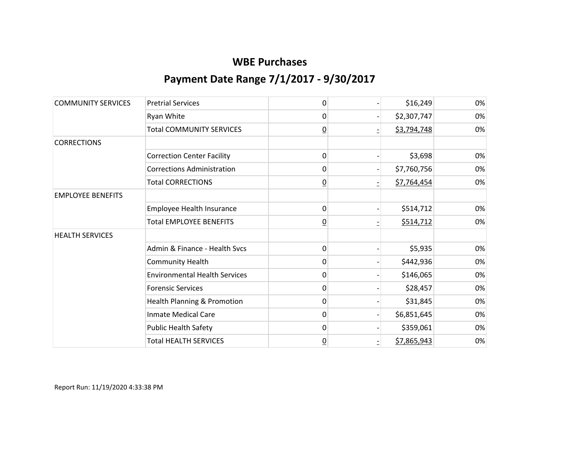| <b>COMMUNITY SERVICES</b> | <b>Pretrial Services</b>             | 0               | \$16,249    | 0% |
|---------------------------|--------------------------------------|-----------------|-------------|----|
|                           | Ryan White                           | 0               | \$2,307,747 | 0% |
|                           | <b>Total COMMUNITY SERVICES</b>      | $\overline{0}$  | \$3,794,748 | 0% |
| <b>CORRECTIONS</b>        |                                      |                 |             |    |
|                           | <b>Correction Center Facility</b>    | 0               | \$3,698     | 0% |
|                           | <b>Corrections Administration</b>    | 0               | \$7,760,756 | 0% |
|                           | <b>Total CORRECTIONS</b>             | <u>0</u>        | \$7,764,454 | 0% |
| <b>EMPLOYEE BENEFITS</b>  |                                      |                 |             |    |
|                           | Employee Health Insurance            | 0               | \$514,712   | 0% |
|                           | <b>Total EMPLOYEE BENEFITS</b>       | <u>0</u>        | \$514,712   | 0% |
| <b>HEALTH SERVICES</b>    |                                      |                 |             |    |
|                           | Admin & Finance - Health Svcs        | 0               | \$5,935     | 0% |
|                           | <b>Community Health</b>              | 0               | \$442,936   | 0% |
|                           | <b>Environmental Health Services</b> | 0               | \$146,065   | 0% |
|                           | <b>Forensic Services</b>             | 0               | \$28,457    | 0% |
|                           | Health Planning & Promotion          | 0               | \$31,845    | 0% |
|                           | <b>Inmate Medical Care</b>           | 0               | \$6,851,645 | 0% |
|                           | <b>Public Health Safety</b>          | 0               | \$359,061   | 0% |
|                           | <b>Total HEALTH SERVICES</b>         | $\underline{0}$ | \$7,865,943 | 0% |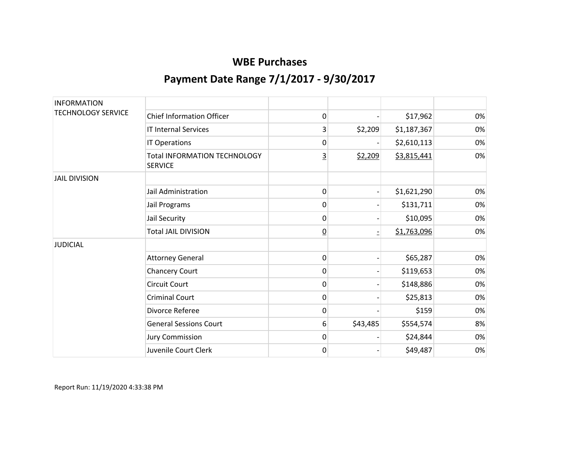| <b>INFORMATION</b>        |                                                       |                |          |             |    |
|---------------------------|-------------------------------------------------------|----------------|----------|-------------|----|
| <b>TECHNOLOGY SERVICE</b> | <b>Chief Information Officer</b>                      | 0              |          | \$17,962    | 0% |
|                           | <b>IT Internal Services</b>                           | 3              | \$2,209  | \$1,187,367 | 0% |
|                           | IT Operations                                         | 0              |          | \$2,610,113 | 0% |
|                           | <b>Total INFORMATION TECHNOLOGY</b><br><b>SERVICE</b> | <u>3</u>       | \$2,209  | \$3,815,441 | 0% |
| <b>JAIL DIVISION</b>      |                                                       |                |          |             |    |
|                           | Jail Administration                                   | 0              |          | \$1,621,290 | 0% |
|                           | Jail Programs                                         | 0              |          | \$131,711   | 0% |
|                           | Jail Security                                         | 0              |          | \$10,095    | 0% |
|                           | <b>Total JAIL DIVISION</b>                            | $\overline{0}$ |          | \$1,763,096 | 0% |
| <b>JUDICIAL</b>           |                                                       |                |          |             |    |
|                           | <b>Attorney General</b>                               | 0              |          | \$65,287    | 0% |
|                           | <b>Chancery Court</b>                                 | 0              |          | \$119,653   | 0% |
|                           | <b>Circuit Court</b>                                  | 0              |          | \$148,886   | 0% |
|                           | <b>Criminal Court</b>                                 | 0              |          | \$25,813    | 0% |
|                           | Divorce Referee                                       | 0              |          | \$159       | 0% |
|                           | <b>General Sessions Court</b>                         | 6              | \$43,485 | \$554,574   | 8% |
|                           | <b>Jury Commission</b>                                | 0              |          | \$24,844    | 0% |
|                           | Juvenile Court Clerk                                  | 0              |          | \$49,487    | 0% |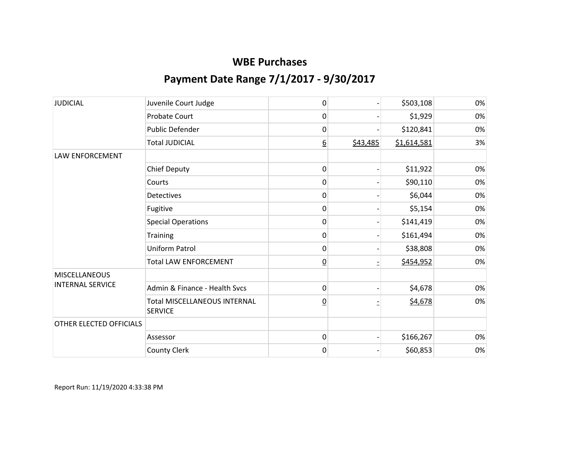| <b>JUDICIAL</b>         | Juvenile Court Judge                           | 0               |          | \$503,108   | 0% |
|-------------------------|------------------------------------------------|-----------------|----------|-------------|----|
|                         | Probate Court                                  | 0               |          | \$1,929     | 0% |
|                         | Public Defender                                | 0               |          | \$120,841   | 0% |
|                         | <b>Total JUDICIAL</b>                          | 6               | \$43,485 | \$1,614,581 | 3% |
| LAW ENFORCEMENT         |                                                |                 |          |             |    |
|                         | <b>Chief Deputy</b>                            | 0               |          | \$11,922    | 0% |
|                         | Courts                                         | 0               |          | \$90,110    | 0% |
|                         | Detectives                                     | 0               |          | \$6,044     | 0% |
|                         | Fugitive                                       | 0               |          | \$5,154     | 0% |
|                         | <b>Special Operations</b>                      | 0               |          | \$141,419   | 0% |
|                         | Training                                       | 0               |          | \$161,494   | 0% |
|                         | Uniform Patrol                                 | 0               |          | \$38,808    | 0% |
|                         | <b>Total LAW ENFORCEMENT</b>                   | $\overline{0}$  |          | \$454,952   | 0% |
| <b>MISCELLANEOUS</b>    |                                                |                 |          |             |    |
| <b>INTERNAL SERVICE</b> | Admin & Finance - Health Svcs                  | 0               |          | \$4,678     | 0% |
|                         | Total MISCELLANEOUS INTERNAL<br><b>SERVICE</b> | $\underline{0}$ |          | \$4,678     | 0% |
| OTHER ELECTED OFFICIALS |                                                |                 |          |             |    |
|                         | Assessor                                       | 0               |          | \$166,267   | 0% |
|                         | County Clerk                                   | 0               |          | \$60,853    | 0% |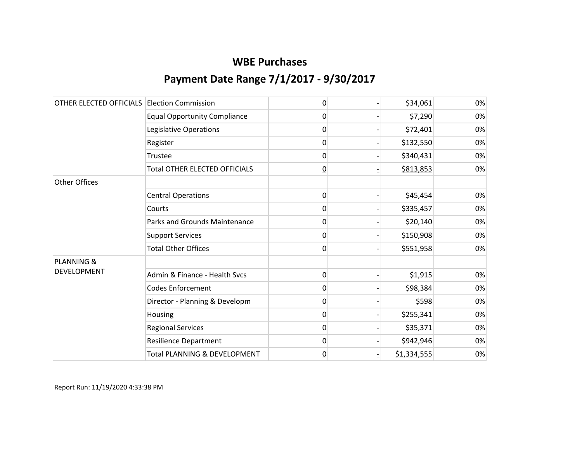| OTHER ELECTED OFFICIALS | <b>Election Commission</b>              | 0               | \$34,061    | 0% |
|-------------------------|-----------------------------------------|-----------------|-------------|----|
|                         | <b>Equal Opportunity Compliance</b>     | 0               | \$7,290     | 0% |
|                         | Legislative Operations                  | 0               | \$72,401    | 0% |
|                         | Register                                | 0               | \$132,550   | 0% |
|                         | Trustee                                 | 0               | \$340,431   | 0% |
|                         | <b>Total OTHER ELECTED OFFICIALS</b>    | $\underline{0}$ | \$813,853   | 0% |
| <b>Other Offices</b>    |                                         |                 |             |    |
|                         | <b>Central Operations</b>               | 0               | \$45,454    | 0% |
|                         | Courts                                  | 0               | \$335,457   | 0% |
|                         | <b>Parks and Grounds Maintenance</b>    | 0               | \$20,140    | 0% |
|                         | <b>Support Services</b>                 | 0               | \$150,908   | 0% |
|                         | <b>Total Other Offices</b>              | $\overline{0}$  | \$551,958   | 0% |
| <b>PLANNING &amp;</b>   |                                         |                 |             |    |
| <b>DEVELOPMENT</b>      | Admin & Finance - Health Svcs           | 0               | \$1,915     | 0% |
|                         | <b>Codes Enforcement</b>                | 0               | \$98,384    | 0% |
|                         | Director - Planning & Developm          | 0               | \$598       | 0% |
|                         | Housing                                 | 0               | \$255,341   | 0% |
|                         | <b>Regional Services</b>                | 0               | \$35,371    | 0% |
|                         | <b>Resilience Department</b>            | 0               | \$942,946   | 0% |
|                         | <b>Total PLANNING &amp; DEVELOPMENT</b> | $\underline{0}$ | \$1,334,555 | 0% |